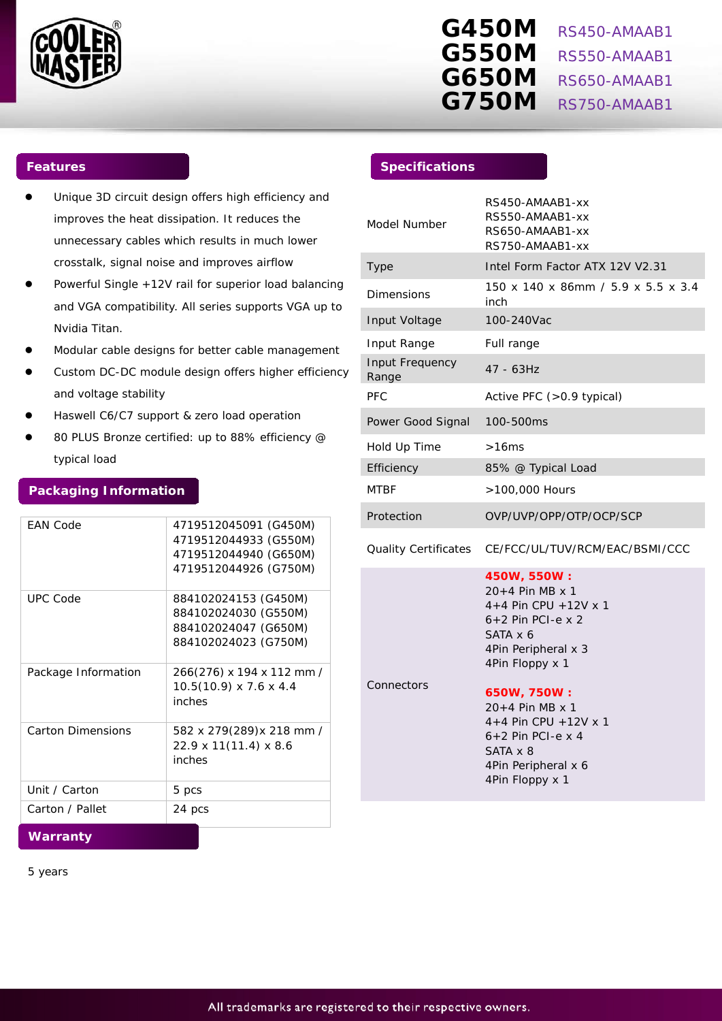

# **G450M** RS450-AMAAB1 **G550M** RS550-AMAAB1 **G650M** RS650-AMAAB1 **G750M** RS750-AMAAB1

- Unique 3D circuit design offers high efficiency and improves the heat dissipation. It reduces the unnecessary cables which results in much lower crosstalk, signal noise and improves airflow
- Powerful Single +12V rail for superior load balancing and VGA compatibility. All series supports VGA up to Nvidia Titan.
- Modular cable designs for better cable management
- Custom DC-DC module design offers higher efficiency and voltage stability
- Haswell C6/C7 support & zero load operation
- 80 PLUS Bronze certified: up to 88% efficiency @ typical load

# **Packaging Information**

| <b>FAN Code</b>          | 4719512045091 (G450M)              |
|--------------------------|------------------------------------|
|                          | 4719512044933 (G550M)              |
|                          | 4719512044940 (G650M)              |
|                          | 4719512044926 (G750M)              |
|                          |                                    |
| <b>UPC Code</b>          | 884102024153 (G450M)               |
|                          | 884102024030 (G550M)               |
|                          | 884102024047 (G650M)               |
|                          | 884102024023 (G750M)               |
|                          |                                    |
| Package Information      | 266(276) x 194 x 112 mm /          |
|                          | $10.5(10.9) \times 7.6 \times 4.4$ |
|                          | inches                             |
|                          |                                    |
| <b>Carton Dimensions</b> | 582 x 279(289)x 218 mm /           |
|                          | 22.9 x 11(11.4) x 8.6              |
|                          | inches                             |
|                          |                                    |
| Unit / Carton            | 5 pcs                              |
| Carton / Pallet          | 24 pcs                             |
|                          |                                    |
| .                        |                                    |

**Warranty**

5 years

# **Features Specifications**

| Model Number             | RS450-AMAAB1-xx<br>RS550-AMAAB1-xx<br>RS650-AMAAB1-xx<br>RS750-AMAAB1-xx                                                                                                                                                                                                         |
|--------------------------|----------------------------------------------------------------------------------------------------------------------------------------------------------------------------------------------------------------------------------------------------------------------------------|
| Type                     | Intel Form Factor ATX 12V V2.31                                                                                                                                                                                                                                                  |
| Dimensions               | 150 x 140 x 86mm / 5.9 x 5.5 x 3.4<br>inch                                                                                                                                                                                                                                       |
| Input Voltage            | 100-240Vac                                                                                                                                                                                                                                                                       |
| Input Range              | Full range                                                                                                                                                                                                                                                                       |
| Input Frequency<br>Range | 47 - 63Hz                                                                                                                                                                                                                                                                        |
| <b>PFC</b>               | Active PFC (>0.9 typical)                                                                                                                                                                                                                                                        |
| Power Good Signal        | 100-500ms                                                                                                                                                                                                                                                                        |
| Hold Up Time             | >16ms                                                                                                                                                                                                                                                                            |
| Efficiency               | 85% @ Typical Load                                                                                                                                                                                                                                                               |
| <b>MTBF</b>              | >100,000 Hours                                                                                                                                                                                                                                                                   |
| Protection               | OVP/UVP/OPP/OTP/OCP/SCP                                                                                                                                                                                                                                                          |
| Quality Certificates     | CE/FCC/UL/TUV/RCM/EAC/BSMI/CCC                                                                                                                                                                                                                                                   |
| Connectors               | 450W, 550W:<br>20+4 Pin MB x 1<br>$4+4$ Pin CPU + 12V x 1<br>$6+2$ Pin PCI-e x 2<br>SATA x 6<br>4Pin Peripheral x 3<br>4Pin Floppy x 1<br>650W, 750W:<br>20+4 Pin MB x 1<br>$4+4$ Pin CPU + 12V x 1<br>$6+2$ Pin PCI-e x 4<br>SATA x 8<br>4Pin Peripheral x 6<br>4Pin Floppy x 1 |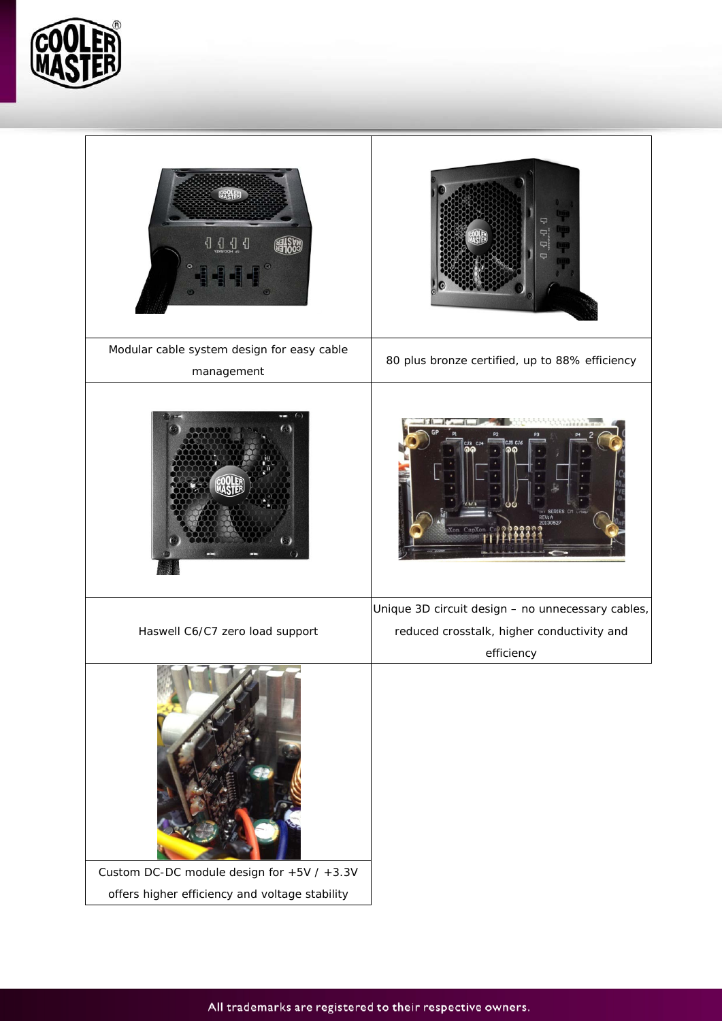

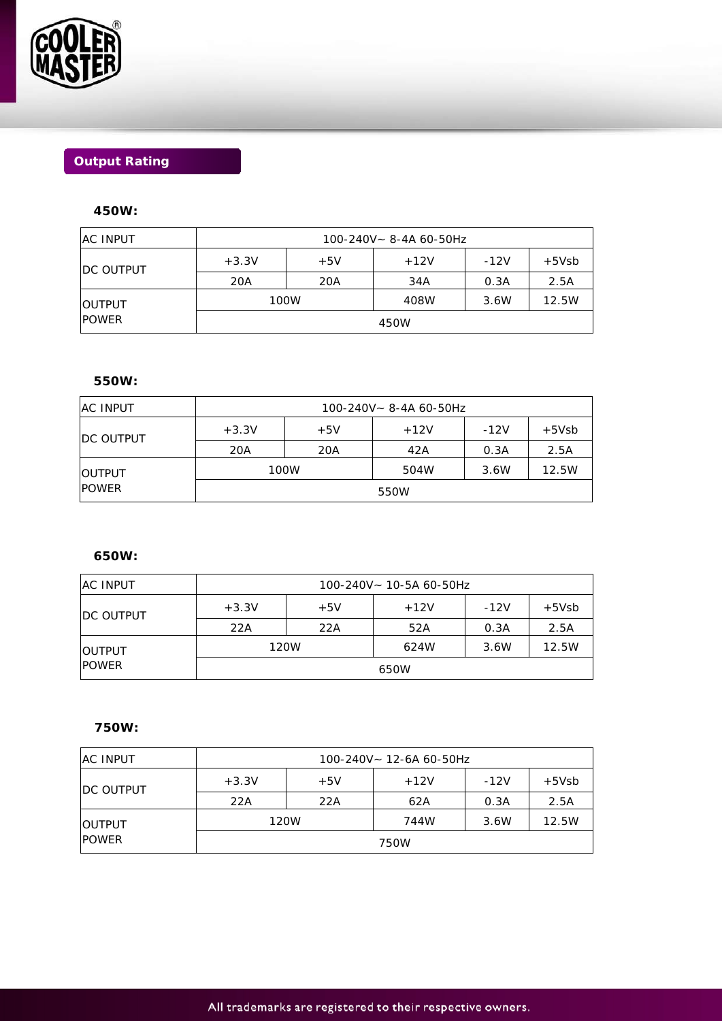

# **Output Rating**

# **450W:**

| <b>AC INPUT</b>               | 100-240V~ 8-4A 60-50Hz |       |        |        |         |
|-------------------------------|------------------------|-------|--------|--------|---------|
| <b>IDC OUTPUT</b>             | $+3.3V$                | $+5V$ | $+12V$ | $-12V$ | $+5Vsb$ |
|                               | 20A                    | 20A   | 34A    | 0.3A   | 2.5A    |
| <b>OUTPUT</b><br><b>POWER</b> | 100W                   |       | 408W   | 3.6W   | 12.5W   |
|                               | 450W                   |       |        |        |         |

# **550W:**

| <b>IAC INPUT</b>              | 100-240V~ 8-4A 60-50Hz |       |        |        |         |
|-------------------------------|------------------------|-------|--------|--------|---------|
| <b>IDC OUTPUT</b>             | $+3.3V$                | $+5V$ | $+12V$ | $-12V$ | $+5Vsb$ |
|                               | 20A                    | 20A   | 42A    | 0.3A   | 2.5A    |
| <b>OUTPUT</b><br><b>POWER</b> | 100W                   |       | 504W   | 3.6W   | 12.5W   |
|                               | 550W                   |       |        |        |         |

### **650W:**

| <b>IAC INPUT</b>              | 100-240V~ 10-5A 60-50Hz |       |        |        |         |
|-------------------------------|-------------------------|-------|--------|--------|---------|
| <b>IDC OUTPUT</b>             | $+3.3V$                 | $+5V$ | $+12V$ | $-12V$ | $+5Vsb$ |
|                               | 22A                     | 22A   | 52A    | 0.3A   | 2.5A    |
| <b>OUTPUT</b><br><b>POWER</b> | 120W                    |       | 624W   | 3.6W   | 12.5W   |
|                               | 650W                    |       |        |        |         |

# **750W:**

| <b>AC INPUT</b>               | $100 - 240V - 12 - 6A$ 60-50Hz |       |        |        |         |
|-------------------------------|--------------------------------|-------|--------|--------|---------|
| <b>DC OUTPUT</b>              | $+3.3V$                        | $+5V$ | $+12V$ | $-12V$ | $+5Vsb$ |
|                               | 22A                            | 22A   | 62A    | 0.3A   | 2.5A    |
| <b>OUTPUT</b><br><b>POWER</b> | 120W                           |       | 744W   | 3.6W   | 12.5W   |
|                               | 750W                           |       |        |        |         |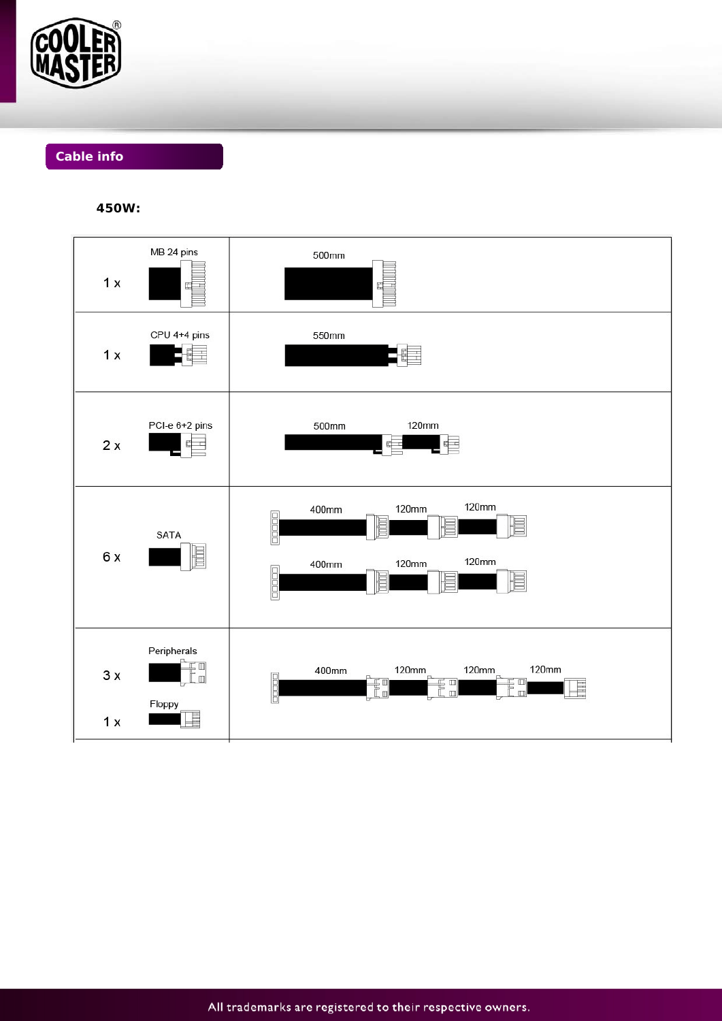

# **Cable info**

450W:

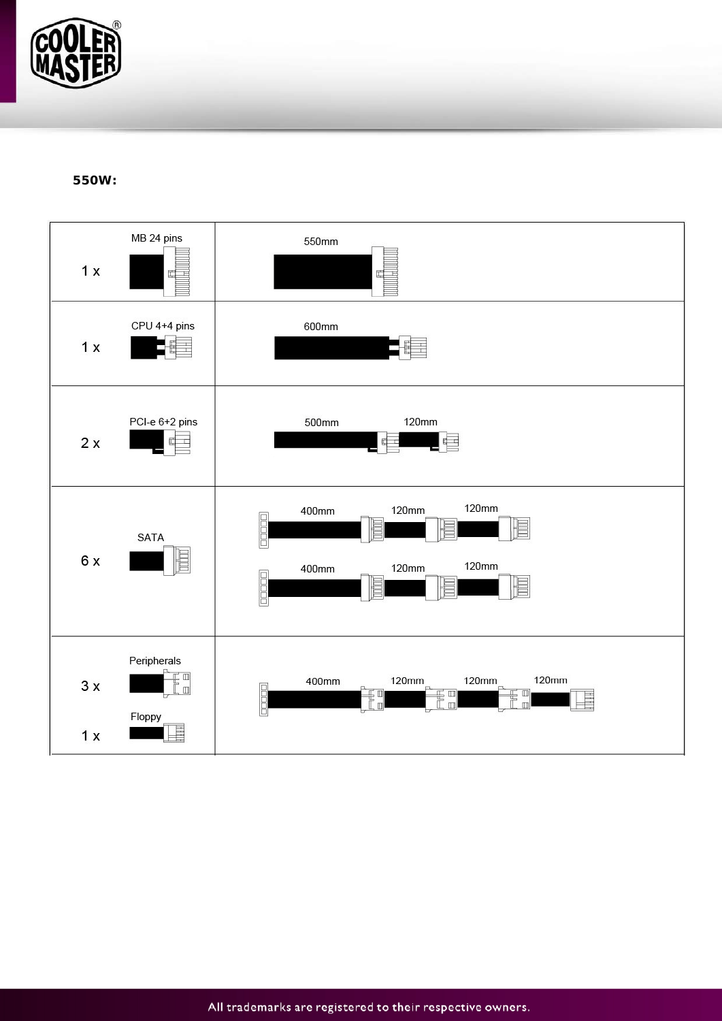

550W: